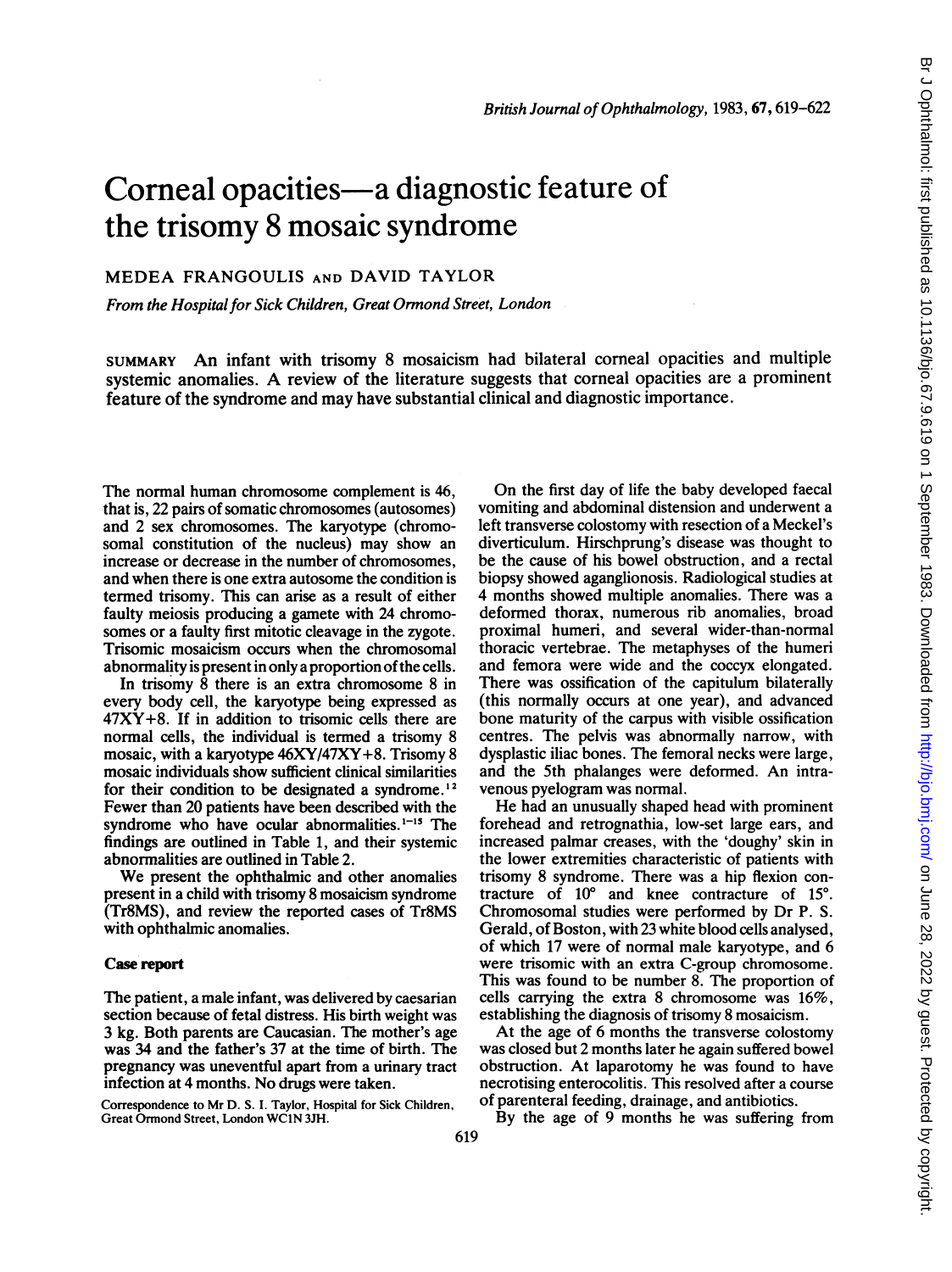# Corneal opacities-a diagnostic feature of the trisomy 8 mosaic syndrome

## MEDEA FRANGOULIS AND DAVID TAYLOR

From the Hospital for Sick Children, Great Ormond Street, London

SUMMARY An infant with trisomy <sup>8</sup> mosaicism had bilateral corneal opacities and multiple systemic anomalies. A review of the literature suggests that corneal opacities are <sup>a</sup> prominent feature of the syndrome and may have substantial clinical and diagnostic importance.

The normal human chromosome complement is 46, that is, 22 pairs of somatic chromosomes (autosomes) and 2 sex chromosomes. The karyotype (chromosomal constitution of the nucleus) may show an increase or decrease in the number of chromosomes, and when there is one extra autosome the condition is termed trisomy. This can arise as a result of either faulty meiosis producing a gamete with 24 chromosomes or a faulty first mitotic cleavage in the zygote. Trisomic mosaicism occurs when the chromosomal abnormality is present in only a proportion of the cells.

In trisomy 8 there is an extra chromosome 8 in every body cell, the karyotype being expressed as  $47XY+8$ . If in addition to trisomic cells there are normal cells, the individual is termed a trisomy 8 mosaic, with a karyotype 46XY/47XY+8. Trisomy 8 mosaic individuals show sufficient clinical similarities for their condition to be designated a syndrome.<sup>12</sup> Fewer than 20 patients have been described with the syndrome who have ocular abnormalities. $1-15$  The findings are outlined in Table 1, and their systemic abnormalities are outlined in Table 2.

We present the ophthalmic and other anomalies present in a child with trisomy 8 mosaicism syndrome (Tr8MS), and review the reported cases of Tr8MS with ophthalmic anomalies.

#### Case report

The patient, a male infant, was delivered by caesarian section because of fetal distress. His birth weight was 3 kg. Both parents are Caucasian. The mother's age was 34 and the father's 37 at the time of birth. The pregnancy was uneventful apart from a urinary tract infection at 4 months. No drugs were taken.

Correspondence to Mr D. S. I. Taylor, Hospital for Sick Children, Great Ormond Street, London WC1N 3JH.

On the first day of life the baby developed faecal vomiting and abdominal distension and underwent a left transverse colostomy with resection of a Meckel's diverticulum. Hirschprung's disease was thought to be the cause of his bowel obstruction, and a rectal biopsy showed aganglionosis. Radiological studies at 4 months showed multiple anomalies. There was a deformed thorax, numerous rib anomalies, broad proximal humeri, and several wider-than-normal thoracic vertebrae. The metaphyses of the humeri and femora were wide and the coccyx elongated. There was ossification of the capitulum bilaterally (this normally occurs at one year), and advanced bone maturity of the carpus with visible ossification centres. The pelvis was abnormally narrow, with dysplastic iliac bones. The femoral necks were large, and the 5th phalanges were deformed. An intravenous pyelogram was normal.

Br J Ophthalmol: first published as 10.1136/bjo.67.9.619 on 1 September 1983. Downloaded from http://bjo.bmj.com/ on June 28, 2022 by guest. Protected by copyright Br J Ophthalmol: first published as 10.1136/bjo.67.9.619 on 1 September 1983. Downloaded from <http://bjo.bmj.com/> on June 28, 2022 by guest. Protected by copyright.

He had an unusually shaped head with prominent forehead and retrognathia, low-set large ears, and increased palmar creases, with the 'doughy' skin in the lower extremities characteristic of patients with trisomy 8 syndrome. There was a hip flexion contracture of  $10^{\circ}$  and knee contracture of  $15^{\circ}$ . Chromosomal studies were performed by Dr P. S. Gerald, of Boston, with 23 white blood cells analysed, of which 17 were of normal male karyotype, and 6 were trisomic with an extra C-group chromosome. This was found to be number 8. The proportion of cells carrying the extra 8 chromosome was 16%, establishing the diagnosis of trisomy 8 mosaicism.

At the age of 6 months the transverse colostomy was closed but 2 months later he again suffered bowel obstruction. At laparotomy he was found to have necrotising enterocolitis. This resolved after a course of parenteral feeding, drainage, and antibiotics.

By the age of 9 months he was suffering from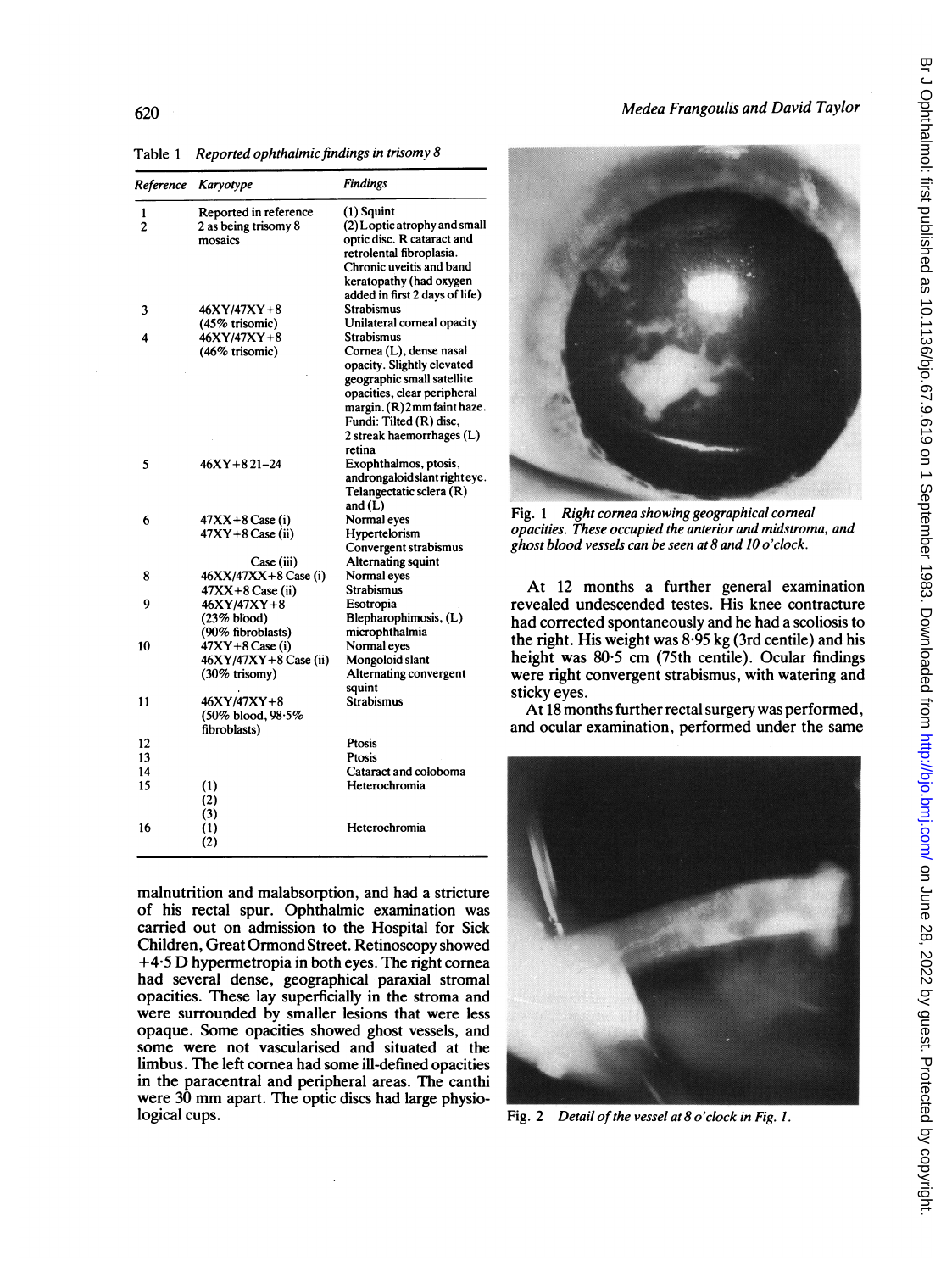| <b>L'AUICI</b><br>Reported ophinumic jindings in irisomy o |                         |                                |  |
|------------------------------------------------------------|-------------------------|--------------------------------|--|
|                                                            | Reference Karyotype     | <b>Findings</b>                |  |
| 1                                                          | Reported in reference   | (1) Squint                     |  |
| $\overline{c}$                                             | 2 as being trisomy 8    | (2) Loptic atrophy and small   |  |
|                                                            | mosaics                 | optic disc. R cataract and     |  |
|                                                            |                         | retrolental fibroplasia.       |  |
|                                                            |                         | Chronic uveitis and band       |  |
|                                                            |                         | keratopathy (had oxygen        |  |
|                                                            |                         | added in first 2 days of life) |  |
| 3                                                          | 46XY/47XY+8             | <b>Strabismus</b>              |  |
|                                                            | (45% trisomic)          | Unilateral corneal opacity     |  |
| 4                                                          | 46XY/47XY+8             | Strabismus                     |  |
|                                                            | (46% trisomic)          | Cornea (L), dense nasal        |  |
|                                                            |                         | opacity. Slightly elevated     |  |
|                                                            |                         | geographic small satellite     |  |
|                                                            |                         | opacities, clear peripheral    |  |
|                                                            |                         | margin. (R)2mm faint haze.     |  |
|                                                            |                         | Fundi: Tilted (R) disc,        |  |
|                                                            |                         | 2 streak haemorrhages (L)      |  |
|                                                            |                         | retina                         |  |
| 5                                                          | $46XY + 821 - 24$       | Exophthalmos, ptosis,          |  |
|                                                            |                         | androngaloid slant right eye.  |  |
|                                                            |                         | Telangectatic sclera (R)       |  |
|                                                            |                         | and $(L)$                      |  |
| 6                                                          | 47XX+8 Case (i)         | Normal eyes                    |  |
|                                                            | $47XY+8$ Case (ii)      | Hypertelorism                  |  |
|                                                            |                         | Convergent strabismus          |  |
|                                                            | Case (iii)              | Alternating squint             |  |
| 8                                                          | 46XX/47XX+8 Case (i)    | Normal eyes                    |  |
|                                                            | 47XX+8 Case (ii)        | Strabismus                     |  |
| 9                                                          | 46XY/47XY+8             | Esotropia                      |  |
|                                                            | (23% <sub>blood</sub> ) | Blepharophimosis, (L)          |  |
|                                                            | (90% fibroblasts)       | microphthalmia                 |  |
| 10                                                         | 47XY+8 Case (i)         | Normal eyes                    |  |
|                                                            | 46XY/47XY+8 Case (ii)   | Mongoloid slant                |  |
|                                                            | $(30\%$ trisomy)        | Alternating convergent         |  |
|                                                            |                         | squint                         |  |
| 11                                                         | $46XY/47XY+8$           | <b>Strabismus</b>              |  |
|                                                            | (50% blood, 98.5%)      |                                |  |
|                                                            | fibroblasts)            |                                |  |
| 12                                                         |                         | Ptosis                         |  |
| 13                                                         |                         | Ptosis                         |  |
| 14                                                         |                         | Cataract and coloboma          |  |
| 15                                                         | (1)                     | Heterochromia                  |  |
|                                                            | (2)                     |                                |  |
|                                                            | (3)                     |                                |  |
| 16                                                         | (1)                     | Heterochromia                  |  |
|                                                            | (2)                     |                                |  |
|                                                            |                         |                                |  |

Table <sup>1</sup> Reported ophthalmicfindings in trisomy 8

malnutrition and malabsorption, and had a stricture of his rectal spur. Ophthalmic examination was carried out on admission to the Hospital for Sick Children, Great Ormond Street. Retinoscopy showed  $+4.5$  D hypermetropia in both eyes. The right cornea had several dense, geographical paraxial stromal opacities. These lay superficially in the stroma and were surrounded by smaller lesions that were less opaque. Some opacities showed ghost vessels, and some were not vascularised and situated at the limbus. The left cornea had some ill-defined opacities in the paracentral and peripheral areas. The canthi were 30 mm apart. The optic discs had large physio-<br>logical cups.



Fig. <sup>1</sup> Right cornea showing geographical corneal opacities. These occupied the anterior and midstroma, and ghost blood vessels can be seen at 8 and 10 <sup>o</sup>'clock.

At 12 months a further general examination revealed undescended testes. His knee contracture had corrected spontaneously and he had a scoliosis to the right. His weight was  $8.95$  kg (3rd centile) and his height was 80.5 cm (75th centile). Ocular findings were right convergent strabismus, with watering and sticky eyes.

At 18 months further rectal surgery was performed, and ocular examination, performed under the same



Fig. 2 Detail of the vessel at 8 o'clock in Fig. 1.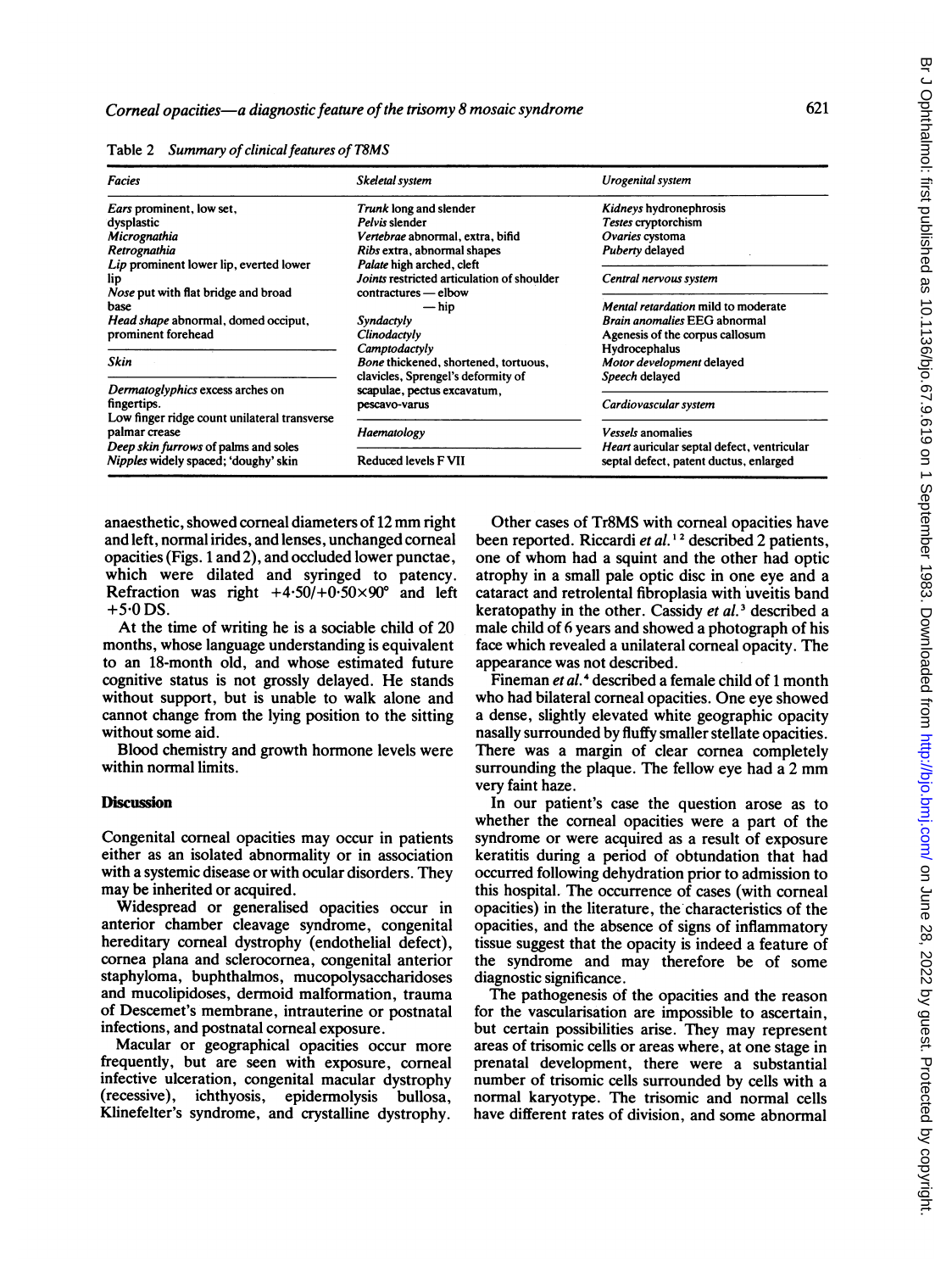| <b>Facies</b>                                                                                   | Skeletal system                                                                                 | Urogenital system                                                                    |
|-------------------------------------------------------------------------------------------------|-------------------------------------------------------------------------------------------------|--------------------------------------------------------------------------------------|
| Ears prominent, low set,                                                                        | Trunk long and slender                                                                          | Kidneys hydronephrosis                                                               |
| dysplastic                                                                                      | Pelvis slender                                                                                  | Testes cryptorchism                                                                  |
| Micrognathia                                                                                    | Vertebrae abnormal, extra, bifid                                                                | Ovaries cystoma                                                                      |
| Retrognathia                                                                                    | Ribs extra, abnormal shapes                                                                     | Puberty delayed                                                                      |
| Lip prominent lower lip, everted lower<br>lip<br><i>Nose</i> put with flat bridge and broad     | Palate high arched, cleft<br>Joints restricted articulation of shoulder<br>contractures - elbow | Central nervous system                                                               |
| base                                                                                            | — hip                                                                                           | Mental retardation mild to moderate                                                  |
| <i>Head shape</i> abnormal, domed occiput,                                                      | Syndactyly                                                                                      | <b>Brain anomalies EEG abnormal</b>                                                  |
| prominent forehead                                                                              | Clinodactyly                                                                                    | Agenesis of the corpus callosum                                                      |
|                                                                                                 | Camptodactyly                                                                                   | Hydrocephalus                                                                        |
| Skin                                                                                            | Bone thickened, shortened, tortuous,                                                            | Motor development delayed                                                            |
|                                                                                                 | clavicles, Sprengel's deformity of                                                              | Speech delayed                                                                       |
| Dermatoglyphics excess arches on<br>fingertips.<br>Low finger ridge count unilateral transverse | scapulae, pectus excavatum,<br>pescavo-varus                                                    | Cardiovascular system                                                                |
| palmar crease                                                                                   | Haematology                                                                                     | <i>Vessels</i> anomalies                                                             |
| Deep skin furrows of palms and soles<br>Nipples widely spaced; 'doughy' skin                    | <b>Reduced levels F VII</b>                                                                     | Heart auricular septal defect, ventricular<br>septal defect, patent ductus, enlarged |

Table 2 Summary of clinical features of T8MS

anaesthetic, showed corneal diameters of <sup>12</sup> mm right and left, normal irides, and lenses, unchanged corneal opacities (Figs. <sup>1</sup> and 2), and occluded lower punctae, which were dilated and syringed to patency. Refraction was right  $+4.50/ +0.50 \times 90^\circ$  and left  $+5.0$  DS.

At the time of writing he is a sociable child of 20 months, whose language understanding is equivalent to an 18-month old, and whose estimated future cognitive status is not grossly delayed. He stands without support, but is unable to walk alone and cannot change from the lying position to the sitting without some aid.

Blood chemistry and growth hormone levels were within normal limits.

### **Discussion**

Congenital corneal opacities may occur in patients either as an isolated abnormality or in association with a systemic disease or with ocular disorders. They may be inherited or acquired.

Widespread or generalised opacities occur in anterior chamber cleavage syndrome, congenital hereditary comeal dystrophy (endothelial defect), cornea plana and sclerocornea, congenital anterior staphyloma, buphthalmos, mucopolysaccharidoses and mucolipidoses, dermoid malformation, trauma of Descemet's membrane, intrauterine or postnatal infections, and postnatal corneal exposure.

Macular or geographical opacities occur more frequently, but are seen with exposure, comeal infective ulceration, congenital macular dystrophy (recessive), ichthyosis, epidermolysis bullosa, Klinefelter's syndrome, and crystalline dystrophy.

Other cases of Tr8MS with corneal opacities have been reported. Riccardi et al.<sup>12</sup> described 2 patients, one of whom had <sup>a</sup> squint and the other had optic atrophy in a small pale optic disc in one eye and a cataract and retrolental fibroplasia with uveitis band keratopathy in the other. Cassidy et al.<sup>3</sup> described a male child of 6 years and showed a photograph of his face which revealed a unilateral corneal opacity. The appearance was not described.

Fineman et al.<sup>4</sup> described a female child of 1 month who had bilateral corneal opacities. One eye showed a dense, slightly elevated white geographic opacity nasally surrounded by fluffy smaller stellate opacities. There was a margin of clear cornea completely surrounding the plaque. The fellow eye had <sup>a</sup> <sup>2</sup> mm very faint haze.

In our patient's case the question arose as to whether the corneal opacities were a part of the syndrome or were acquired as a result of exposure keratitis during a period of obtundation that had occurred following dehydration prior to admission to this hospital. The occurrence of cases (with corneal opacities) in the literature, the characteristics of the opacities, and the absence of signs of inflammatory tissue suggest that the opacity is indeed a feature of the syndrome and may therefore be of some diagnostic significance.

The pathogenesis of the opacities and the reason for the vascularisation are impossible to ascertain, but certain possibilities arise. They may represent areas of trisomic cells or areas where, at one stage in prenatal development, there were a substantial number of trisomic cells surrounded by cells with a normal karyotype. The trisomic and normal cells have different rates of division, and some abnormal